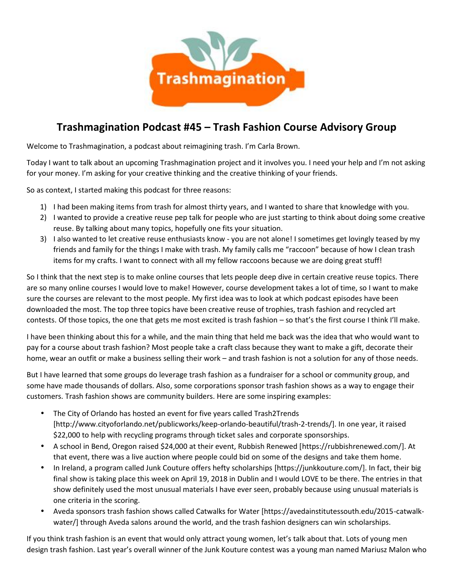

## **Trashmagination Podcast #45 – Trash Fashion Course Advisory Group**

Welcome to Trashmagination, a podcast about reimagining trash. I'm Carla Brown.

Today I want to talk about an upcoming Trashmagination project and it involves you. I need your help and I'm not asking for your money. I'm asking for your creative thinking and the creative thinking of your friends.

So as context, I started making this podcast for three reasons:

- 1) I had been making items from trash for almost thirty years, and I wanted to share that knowledge with you.
- 2) I wanted to provide a creative reuse pep talk for people who are just starting to think about doing some creative reuse. By talking about many topics, hopefully one fits your situation.
- 3) I also wanted to let creative reuse enthusiasts know you are not alone! I sometimes get lovingly teased by my friends and family for the things I make with trash. My family calls me "raccoon" because of how I clean trash items for my crafts. I want to connect with all my fellow raccoons because we are doing great stuff!

So I think that the next step is to make online courses that lets people deep dive in certain creative reuse topics. There are so many online courses I would love to make! However, course development takes a lot of time, so I want to make sure the courses are relevant to the most people. My first idea was to look at which podcast episodes have been downloaded the most. The top three topics have been creative reuse of trophies, trash fashion and recycled art contests. Of those topics, the one that gets me most excited is trash fashion – so that's the first course I think I'll make.

I have been thinking about this for a while, and the main thing that held me back was the idea that who would want to pay for a course about trash fashion? Most people take a craft class because they want to make a gift, decorate their home, wear an outfit or make a business selling their work – and trash fashion is not a solution for any of those needs.

But I have learned that some groups do leverage trash fashion as a fundraiser for a school or community group, and some have made thousands of dollars. Also, some corporations sponsor trash fashion shows as a way to engage their customers. Trash fashion shows are community builders. Here are some inspiring examples:

- The City of Orlando has hosted an event for five years called Trash2Trends [http://www.cityoforlando.net/publicworks/keep-orlando-beautiful/trash-2-trends/]. In one year, it raised \$22,000 to help with recycling programs through ticket sales and corporate sponsorships.
- A school in Bend, Oregon raised \$24,000 at their event, Rubbish Renewed [https://rubbishrenewed.com/]. At that event, there was a live auction where people could bid on some of the designs and take them home.
- In Ireland, a program called Junk Couture offers hefty scholarships [https://junkkouture.com/]. In fact, their big final show is taking place this week on April 19, 2018 in Dublin and I would LOVE to be there. The entries in that show definitely used the most unusual materials I have ever seen, probably because using unusual materials is one criteria in the scoring.
- Aveda sponsors trash fashion shows called Catwalks for Water [https://avedainstitutessouth.edu/2015-catwalk water/] through Aveda salons around the world, and the trash fashion designers can win scholarships.

If you think trash fashion is an event that would only attract young women, let's talk about that. Lots of young men design trash fashion. Last year's overall winner of the Junk Kouture contest was a young man named Mariusz Malon who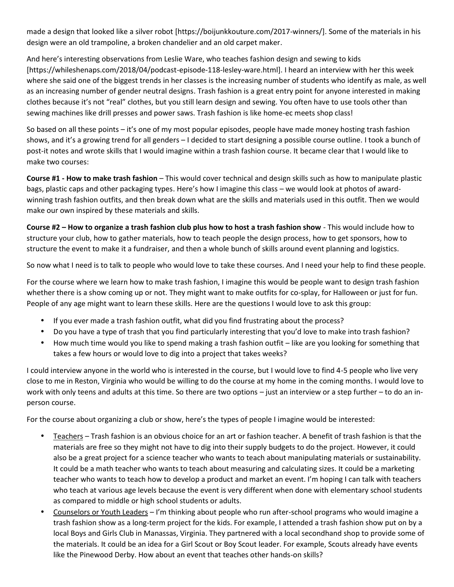made a design that looked like a silver robot [https://boijunkkouture.com/2017-winners/]. Some of the materials in his design were an old trampoline, a broken chandelier and an old carpet maker.

And here's interesting observations from Leslie Ware, who teaches fashion design and sewing to kids [https://whileshenaps.com/2018/04/podcast-episode-118-lesley-ware.html]. I heard an interview with her this week where she said one of the biggest trends in her classes is the increasing number of students who identify as male, as well as an increasing number of gender neutral designs. Trash fashion is a great entry point for anyone interested in making clothes because it's not "real" clothes, but you still learn design and sewing. You often have to use tools other than sewing machines like drill presses and power saws. Trash fashion is like home-ec meets shop class!

So based on all these points – it's one of my most popular episodes, people have made money hosting trash fashion shows, and it's a growing trend for all genders – I decided to start designing a possible course outline. I took a bunch of post-it notes and wrote skills that I would imagine within a trash fashion course. It became clear that I would like to make two courses:

**Course #1 - How to make trash fashion** – This would cover technical and design skills such as how to manipulate plastic bags, plastic caps and other packaging types. Here's how I imagine this class – we would look at photos of award winning trash fashion outfits, and then break down what are the skills and materials used in this outfit. Then we would make our own inspired by these materials and skills.

**Course #2 – How to organize a trash fashion club plus how to host a trash fashion show** - This would include how to structure your club, how to gather materials, how to teach people the design process, how to get sponsors, how to structure the event to make it a fundraiser, and then a whole bunch of skills around event planning and logistics.

So now what I need is to talk to people who would love to take these courses. And I need your help to find these people.

For the course where we learn how to make trash fashion, I imagine this would be people want to design trash fashion whether there is a show coming up or not. They might want to make outfits for co-splay, for Halloween or just for fun. People of any age might want to learn these skills. Here are the questions I would love to ask this group:

- If you ever made a trash fashion outfit, what did you find frustrating about the process?
- Do you have a type of trash that you find particularly interesting that you'd love to make into trash fashion?
- How much time would you like to spend making a trash fashion outfit like are you looking for something that takes a few hours or would love to dig into a project that takes weeks?

I could interview anyone in the world who is interested in the course, but I would love to find 4-5 people who live very close to me in Reston, Virginia who would be willing to do the course at my home in the coming months. I would love to work with only teens and adults at this time. So there are two options – just an interview or a step further – to do an in person course.

For the course about organizing a club or show, here's the types of people I imagine would be interested:

- Teachers Trash fashion is an obvious choice for an art or fashion teacher. A benefit of trash fashion is that the materials are free so they might not have to dig into their supply budgets to do the project. However, it could also be a great project for a science teacher who wants to teach about manipulating materials or sustainability. It could be a math teacher who wants to teach about measuring and calculating sizes. It could be a marketing teacher who wants to teach how to develop a product and market an event. I'm hoping I can talk with teachers who teach at various age levels because the event is very different when done with elementary school students as compared to middle or high school students or adults.
- Counselors or Youth Leaders I'm thinking about people who run after-school programs who would imagine a trash fashion show as a long-term project for the kids. For example, I attended a trash fashion show put on by a local Boys and Girls Club in Manassas, Virginia. They partnered with a local secondhand shop to provide some of the materials. It could be an idea for a Girl Scout or Boy Scout leader. For example, Scouts already have events like the Pinewood Derby. How about an event that teaches other hands-on skills?